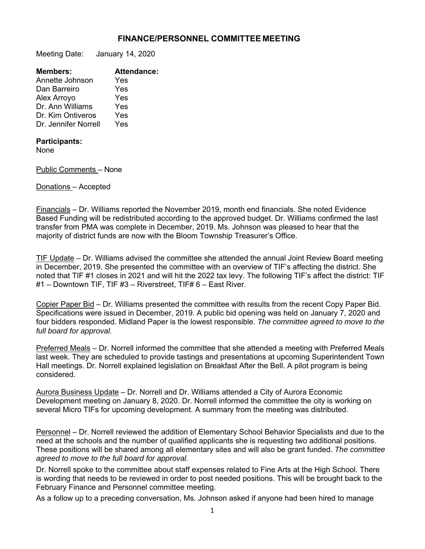## **FINANCE/PERSONNEL COMMITTEE MEETING**

Meeting Date: January 14, 2020

| <b>Members:</b>      | <b>Attendance:</b> |
|----------------------|--------------------|
| Annette Johnson      | Yes                |
| Dan Barreiro         | Yes                |
| Alex Arroyo          | Yes                |
| Dr. Ann Williams     | Yes                |
| Dr. Kim Ontiveros    | Yes                |
| Dr. Jennifer Norrell | Yes                |
|                      |                    |

## **Participants:**

None

Public Comments – None

Donations – Accepted

Financials – Dr. Williams reported the November 2019, month end financials. She noted Evidence Based Funding will be redistributed according to the approved budget. Dr. Williams confirmed the last transfer from PMA was complete in December, 2019. Ms. Johnson was pleased to hear that the majority of district funds are now with the Bloom Township Treasurer's Office.

TIF Update – Dr. Williams advised the committee she attended the annual Joint Review Board meeting in December, 2019. She presented the committee with an overview of TIF's affecting the district. She noted that TIF #1 closes in 2021 and will hit the 2022 tax levy. The following TIF's affect the district: TIF #1 – Downtown TIF, TIF #3 – Riverstreet, TIF# 6 – East River.

Copier Paper Bid – Dr. Williams presented the committee with results from the recent Copy Paper Bid. Specifications were issued in December, 2019. A public bid opening was held on January 7, 2020 and four bidders responded. Midland Paper is the lowest responsible. *The committee agreed to move to the full board for approval.*

Preferred Meals – Dr. Norrell informed the committee that she attended a meeting with Preferred Meals last week. They are scheduled to provide tastings and presentations at upcoming Superintendent Town Hall meetings. Dr. Norrell explained legislation on Breakfast After the Bell. A pilot program is being considered.

Aurora Business Update – Dr. Norrell and Dr. Williams attended a City of Aurora Economic Development meeting on January 8, 2020. Dr. Norrell informed the committee the city is working on several Micro TIFs for upcoming development. A summary from the meeting was distributed.

Personnel – Dr. Norrell reviewed the addition of Elementary School Behavior Specialists and due to the need at the schools and the number of qualified applicants she is requesting two additional positions. These positions will be shared among all elementary sites and will also be grant funded. *The committee agreed to move to the full board for approval.* 

Dr. Norrell spoke to the committee about staff expenses related to Fine Arts at the High School. There is wording that needs to be reviewed in order to post needed positions. This will be brought back to the February Finance and Personnel committee meeting.

As a follow up to a preceding conversation, Ms. Johnson asked if anyone had been hired to manage